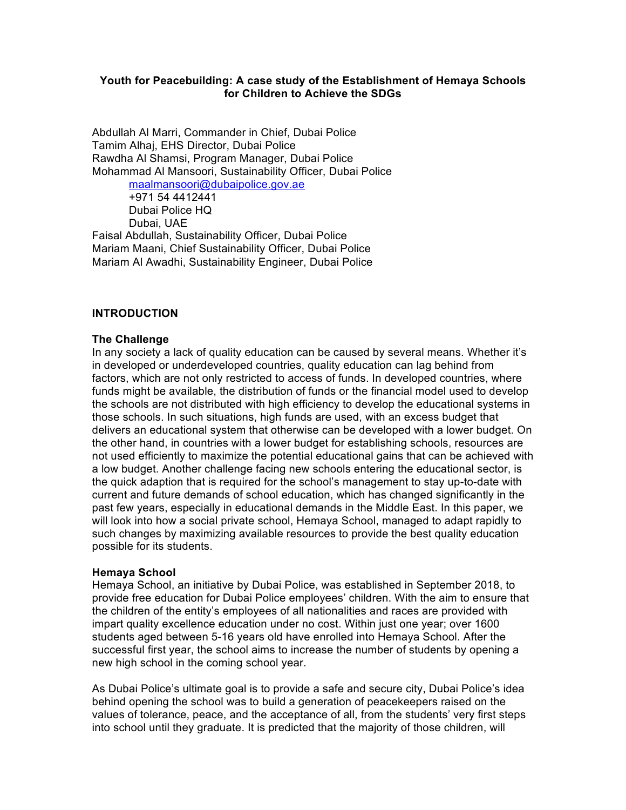### **Youth for Peacebuilding: A case study of the Establishment of Hemaya Schools for Children to Achieve the SDGs**

Abdullah Al Marri, Commander in Chief, Dubai Police Tamim Alhaj, EHS Director, Dubai Police Rawdha Al Shamsi, Program Manager, Dubai Police Mohammad Al Mansoori, Sustainability Officer, Dubai Police

maalmansoori@dubaipolice.gov.ae +971 54 4412441 Dubai Police HQ Dubai, UAE Faisal Abdullah, Sustainability Officer, Dubai Police Mariam Maani, Chief Sustainability Officer, Dubai Police

Mariam Al Awadhi, Sustainability Engineer, Dubai Police

#### **INTRODUCTION**

#### **The Challenge**

In any society a lack of quality education can be caused by several means. Whether it's in developed or underdeveloped countries, quality education can lag behind from factors, which are not only restricted to access of funds. In developed countries, where funds might be available, the distribution of funds or the financial model used to develop the schools are not distributed with high efficiency to develop the educational systems in those schools. In such situations, high funds are used, with an excess budget that delivers an educational system that otherwise can be developed with a lower budget. On the other hand, in countries with a lower budget for establishing schools, resources are not used efficiently to maximize the potential educational gains that can be achieved with a low budget. Another challenge facing new schools entering the educational sector, is the quick adaption that is required for the school's management to stay up-to-date with current and future demands of school education, which has changed significantly in the past few years, especially in educational demands in the Middle East. In this paper, we will look into how a social private school, Hemaya School, managed to adapt rapidly to such changes by maximizing available resources to provide the best quality education possible for its students.

### **Hemaya School**

Hemaya School, an initiative by Dubai Police, was established in September 2018, to provide free education for Dubai Police employees' children. With the aim to ensure that the children of the entity's employees of all nationalities and races are provided with impart quality excellence education under no cost. Within just one year; over 1600 students aged between 5-16 years old have enrolled into Hemaya School. After the successful first year, the school aims to increase the number of students by opening a new high school in the coming school year.

As Dubai Police's ultimate goal is to provide a safe and secure city, Dubai Police's idea behind opening the school was to build a generation of peacekeepers raised on the values of tolerance, peace, and the acceptance of all, from the students' very first steps into school until they graduate. It is predicted that the majority of those children, will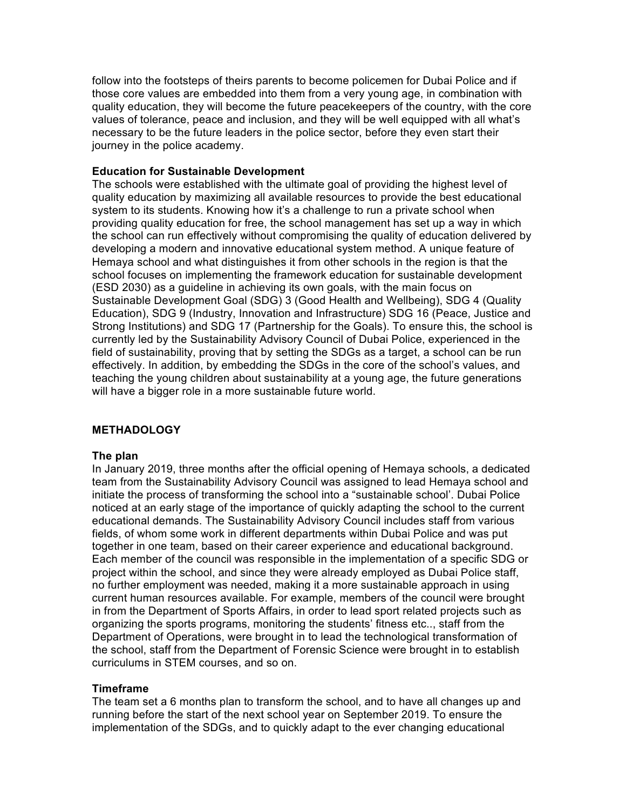follow into the footsteps of theirs parents to become policemen for Dubai Police and if those core values are embedded into them from a very young age, in combination with quality education, they will become the future peacekeepers of the country, with the core values of tolerance, peace and inclusion, and they will be well equipped with all what's necessary to be the future leaders in the police sector, before they even start their journey in the police academy.

### **Education for Sustainable Development**

The schools were established with the ultimate goal of providing the highest level of quality education by maximizing all available resources to provide the best educational system to its students. Knowing how it's a challenge to run a private school when providing quality education for free, the school management has set up a way in which the school can run effectively without compromising the quality of education delivered by developing a modern and innovative educational system method. A unique feature of Hemaya school and what distinguishes it from other schools in the region is that the school focuses on implementing the framework education for sustainable development (ESD 2030) as a guideline in achieving its own goals, with the main focus on Sustainable Development Goal (SDG) 3 (Good Health and Wellbeing), SDG 4 (Quality Education), SDG 9 (Industry, Innovation and Infrastructure) SDG 16 (Peace, Justice and Strong Institutions) and SDG 17 (Partnership for the Goals). To ensure this, the school is currently led by the Sustainability Advisory Council of Dubai Police, experienced in the field of sustainability, proving that by setting the SDGs as a target, a school can be run effectively. In addition, by embedding the SDGs in the core of the school's values, and teaching the young children about sustainability at a young age, the future generations will have a bigger role in a more sustainable future world.

### **METHADOLOGY**

### **The plan**

In January 2019, three months after the official opening of Hemaya schools, a dedicated team from the Sustainability Advisory Council was assigned to lead Hemaya school and initiate the process of transforming the school into a "sustainable school'. Dubai Police noticed at an early stage of the importance of quickly adapting the school to the current educational demands. The Sustainability Advisory Council includes staff from various fields, of whom some work in different departments within Dubai Police and was put together in one team, based on their career experience and educational background. Each member of the council was responsible in the implementation of a specific SDG or project within the school, and since they were already employed as Dubai Police staff, no further employment was needed, making it a more sustainable approach in using current human resources available. For example, members of the council were brought in from the Department of Sports Affairs, in order to lead sport related projects such as organizing the sports programs, monitoring the students' fitness etc.., staff from the Department of Operations, were brought in to lead the technological transformation of the school, staff from the Department of Forensic Science were brought in to establish curriculums in STEM courses, and so on.

## **Timeframe**

The team set a 6 months plan to transform the school, and to have all changes up and running before the start of the next school year on September 2019. To ensure the implementation of the SDGs, and to quickly adapt to the ever changing educational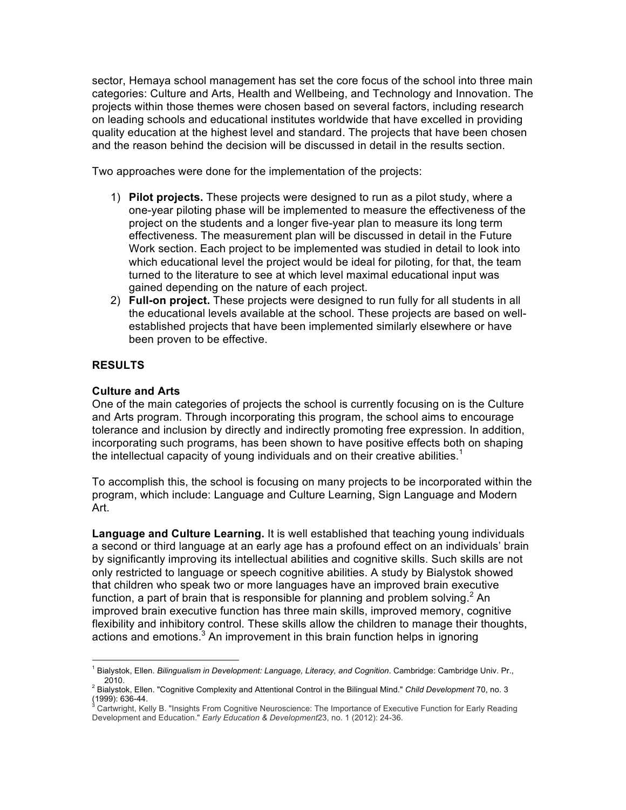sector, Hemaya school management has set the core focus of the school into three main categories: Culture and Arts, Health and Wellbeing, and Technology and Innovation. The projects within those themes were chosen based on several factors, including research on leading schools and educational institutes worldwide that have excelled in providing quality education at the highest level and standard. The projects that have been chosen and the reason behind the decision will be discussed in detail in the results section.

Two approaches were done for the implementation of the projects:

- 1) **Pilot projects.** These projects were designed to run as a pilot study, where a one-year piloting phase will be implemented to measure the effectiveness of the project on the students and a longer five-year plan to measure its long term effectiveness. The measurement plan will be discussed in detail in the Future Work section. Each project to be implemented was studied in detail to look into which educational level the project would be ideal for piloting, for that, the team turned to the literature to see at which level maximal educational input was gained depending on the nature of each project.
- 2) **Full-on project.** These projects were designed to run fully for all students in all the educational levels available at the school. These projects are based on wellestablished projects that have been implemented similarly elsewhere or have been proven to be effective.

### **RESULTS**

### **Culture and Arts**

One of the main categories of projects the school is currently focusing on is the Culture and Arts program. Through incorporating this program, the school aims to encourage tolerance and inclusion by directly and indirectly promoting free expression. In addition, incorporating such programs, has been shown to have positive effects both on shaping the intellectual capacity of young individuals and on their creative abilities.<sup>1</sup>

To accomplish this, the school is focusing on many projects to be incorporated within the program, which include: Language and Culture Learning, Sign Language and Modern Art.

**Language and Culture Learning.** It is well established that teaching young individuals a second or third language at an early age has a profound effect on an individuals' brain by significantly improving its intellectual abilities and cognitive skills. Such skills are not only restricted to language or speech cognitive abilities. A study by Bialystok showed that children who speak two or more languages have an improved brain executive function, a part of brain that is responsible for planning and problem solving.  $2$  An improved brain executive function has three main skills, improved memory, cognitive flexibility and inhibitory control. These skills allow the children to manage their thoughts, actions and emotions. $3$  An improvement in this brain function helps in ignoring

 <sup>1</sup> Bialystok, Ellen. *Bilingualism in Development: Language, Literacy, and Cognition*. Cambridge: Cambridge Univ. Pr.,

<sup>2010.</sup> <sup>2</sup> Bialystok, Ellen. "Cognitive Complexity and Attentional Control in the Bilingual Mind." *Child Development* 70, no. 3

Cartwright, Kelly B. "Insights From Cognitive Neuroscience: The Importance of Executive Function for Early Reading Development and Education." *Early Education & Development*23, no. 1 (2012): 24-36.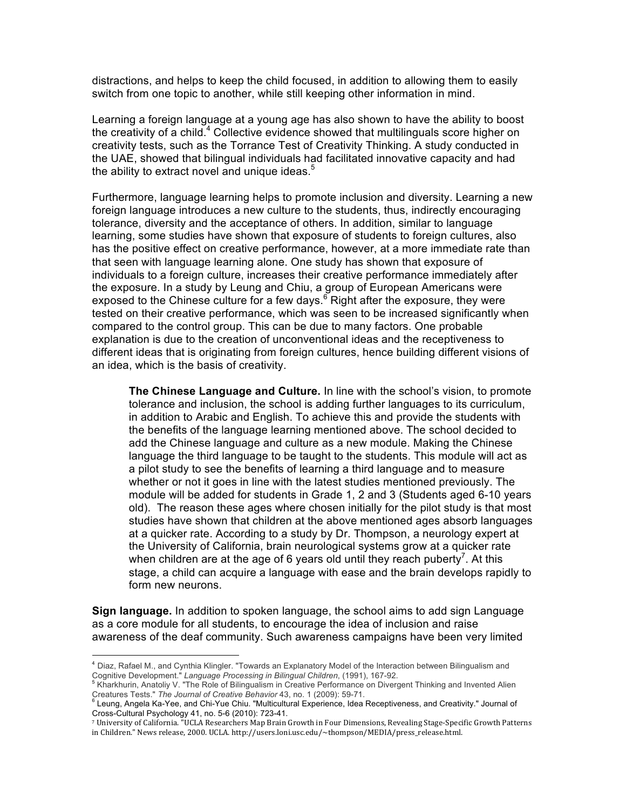distractions, and helps to keep the child focused, in addition to allowing them to easily switch from one topic to another, while still keeping other information in mind.

Learning a foreign language at a young age has also shown to have the ability to boost the creativity of a child.<sup>4</sup> Collective evidence showed that multilinguals score higher on creativity tests, such as the Torrance Test of Creativity Thinking. A study conducted in the UAE, showed that bilingual individuals had facilitated innovative capacity and had the ability to extract novel and unique ideas. $5$ 

Furthermore, language learning helps to promote inclusion and diversity. Learning a new foreign language introduces a new culture to the students, thus, indirectly encouraging tolerance, diversity and the acceptance of others. In addition, similar to language learning, some studies have shown that exposure of students to foreign cultures, also has the positive effect on creative performance, however, at a more immediate rate than that seen with language learning alone. One study has shown that exposure of individuals to a foreign culture, increases their creative performance immediately after the exposure. In a study by Leung and Chiu, a group of European Americans were exposed to the Chinese culture for a few days.<sup>6</sup> Right after the exposure, they were tested on their creative performance, which was seen to be increased significantly when compared to the control group. This can be due to many factors. One probable explanation is due to the creation of unconventional ideas and the receptiveness to different ideas that is originating from foreign cultures, hence building different visions of an idea, which is the basis of creativity.

**The Chinese Language and Culture.** In line with the school's vision, to promote tolerance and inclusion, the school is adding further languages to its curriculum, in addition to Arabic and English. To achieve this and provide the students with the benefits of the language learning mentioned above. The school decided to add the Chinese language and culture as a new module. Making the Chinese language the third language to be taught to the students. This module will act as a pilot study to see the benefits of learning a third language and to measure whether or not it goes in line with the latest studies mentioned previously. The module will be added for students in Grade 1, 2 and 3 (Students aged 6-10 years old). The reason these ages where chosen initially for the pilot study is that most studies have shown that children at the above mentioned ages absorb languages at a quicker rate. According to a study by Dr. Thompson, a neurology expert at the University of California, brain neurological systems grow at a quicker rate when children are at the age of 6 years old until they reach puberty<sup>7</sup>. At this stage, a child can acquire a language with ease and the brain develops rapidly to form new neurons.

**Sign language.** In addition to spoken language, the school aims to add sign Language as a core module for all students, to encourage the idea of inclusion and raise awareness of the deaf community. Such awareness campaigns have been very limited

 

<sup>4</sup> Diaz, Rafael M., and Cynthia Klingler. "Towards an Explanatory Model of the Interaction between Bilingualism and

Cognitive Development." *Language Processing in Bilingual Children*, (1991), 167-92.<br><sup>5</sup> Kharkhurin, Anatoliy V. "The Role of Bilingualism in Creative Performance on Divergent Thinking and Invented Alien<br>Creatures Tests."

Creatures Tests." *The Journal of Creative Behavior* 43, no. 1 (2009): 59-71. <sup>6</sup> Leung, Angela Ka-Yee, and Chi-Yue Chiu. "Multicultural Experience, Idea Receptiveness, and Creativity." Journal of Cross-Cultural Psychology 41, no. 5-6 (2010): 723-41.

<sup>&</sup>lt;sup>7</sup> University of California. "UCLA Researchers Map Brain Growth in Four Dimensions, Revealing Stage-Specific Growth Patterns in Children." News release, 2000. UCLA. http://users.loni.usc.edu/~thompson/MEDIA/press\_release.html.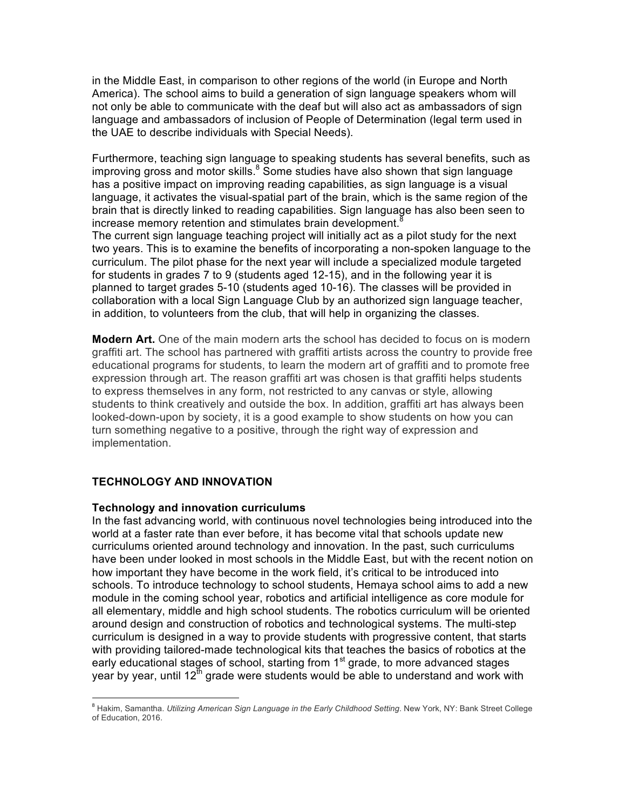in the Middle East, in comparison to other regions of the world (in Europe and North America). The school aims to build a generation of sign language speakers whom will not only be able to communicate with the deaf but will also act as ambassadors of sign language and ambassadors of inclusion of People of Determination (legal term used in the UAE to describe individuals with Special Needs).

Furthermore, teaching sign language to speaking students has several benefits, such as improving gross and motor skills. $8$  Some studies have also shown that sign language has a positive impact on improving reading capabilities, as sign language is a visual language, it activates the visual-spatial part of the brain, which is the same region of the brain that is directly linked to reading capabilities. Sign language has also been seen to increase memory retention and stimulates brain development.<sup>8</sup>

The current sign language teaching project will initially act as a pilot study for the next two years. This is to examine the benefits of incorporating a non-spoken language to the curriculum. The pilot phase for the next year will include a specialized module targeted for students in grades 7 to 9 (students aged 12-15), and in the following year it is planned to target grades 5-10 (students aged 10-16). The classes will be provided in collaboration with a local Sign Language Club by an authorized sign language teacher, in addition, to volunteers from the club, that will help in organizing the classes.

**Modern Art.** One of the main modern arts the school has decided to focus on is modern graffiti art. The school has partnered with graffiti artists across the country to provide free educational programs for students, to learn the modern art of graffiti and to promote free expression through art. The reason graffiti art was chosen is that graffiti helps students to express themselves in any form, not restricted to any canvas or style, allowing students to think creatively and outside the box. In addition, graffiti art has always been looked-down-upon by society, it is a good example to show students on how you can turn something negative to a positive, through the right way of expression and implementation.

### **TECHNOLOGY AND INNOVATION**

 

### **Technology and innovation curriculums**

In the fast advancing world, with continuous novel technologies being introduced into the world at a faster rate than ever before, it has become vital that schools update new curriculums oriented around technology and innovation. In the past, such curriculums have been under looked in most schools in the Middle East, but with the recent notion on how important they have become in the work field, it's critical to be introduced into schools. To introduce technology to school students, Hemaya school aims to add a new module in the coming school year, robotics and artificial intelligence as core module for all elementary, middle and high school students. The robotics curriculum will be oriented around design and construction of robotics and technological systems. The multi-step curriculum is designed in a way to provide students with progressive content, that starts with providing tailored-made technological kits that teaches the basics of robotics at the early educational stages of school, starting from 1<sup>st</sup> grade, to more advanced stages year by year, until  $12^{\text{th}}$  grade were students would be able to understand and work with

<sup>&</sup>lt;sup>8</sup> Hakim, Samantha. *Utilizing American Sign Language in the Early Childhood Setting*. New York, NY: Bank Street College of Education, 2016.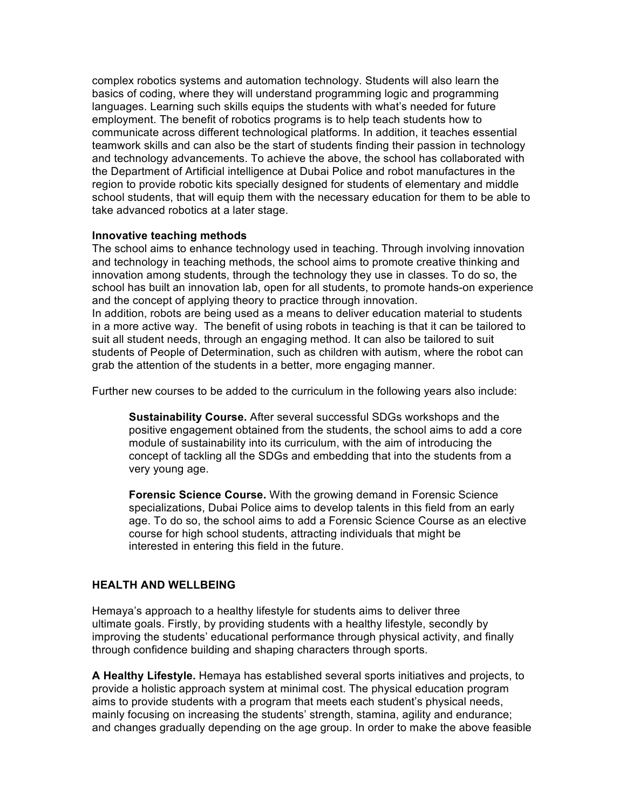complex robotics systems and automation technology. Students will also learn the basics of coding, where they will understand programming logic and programming languages. Learning such skills equips the students with what's needed for future employment. The benefit of robotics programs is to help teach students how to communicate across different technological platforms. In addition, it teaches essential teamwork skills and can also be the start of students finding their passion in technology and technology advancements. To achieve the above, the school has collaborated with the Department of Artificial intelligence at Dubai Police and robot manufactures in the region to provide robotic kits specially designed for students of elementary and middle school students, that will equip them with the necessary education for them to be able to take advanced robotics at a later stage.

### **Innovative teaching methods**

The school aims to enhance technology used in teaching. Through involving innovation and technology in teaching methods, the school aims to promote creative thinking and innovation among students, through the technology they use in classes. To do so, the school has built an innovation lab, open for all students, to promote hands-on experience and the concept of applying theory to practice through innovation. In addition, robots are being used as a means to deliver education material to students in a more active way. The benefit of using robots in teaching is that it can be tailored to suit all student needs, through an engaging method. It can also be tailored to suit students of People of Determination, such as children with autism, where the robot can grab the attention of the students in a better, more engaging manner.

Further new courses to be added to the curriculum in the following years also include:

**Sustainability Course.** After several successful SDGs workshops and the positive engagement obtained from the students, the school aims to add a core module of sustainability into its curriculum, with the aim of introducing the concept of tackling all the SDGs and embedding that into the students from a very young age.

**Forensic Science Course.** With the growing demand in Forensic Science specializations, Dubai Police aims to develop talents in this field from an early age. To do so, the school aims to add a Forensic Science Course as an elective course for high school students, attracting individuals that might be interested in entering this field in the future.

## **HEALTH AND WELLBEING**

Hemaya's approach to a healthy lifestyle for students aims to deliver three ultimate goals. Firstly, by providing students with a healthy lifestyle, secondly by improving the students' educational performance through physical activity, and finally through confidence building and shaping characters through sports.

**A Healthy Lifestyle.** Hemaya has established several sports initiatives and projects, to provide a holistic approach system at minimal cost. The physical education program aims to provide students with a program that meets each student's physical needs, mainly focusing on increasing the students' strength, stamina, agility and endurance; and changes gradually depending on the age group. In order to make the above feasible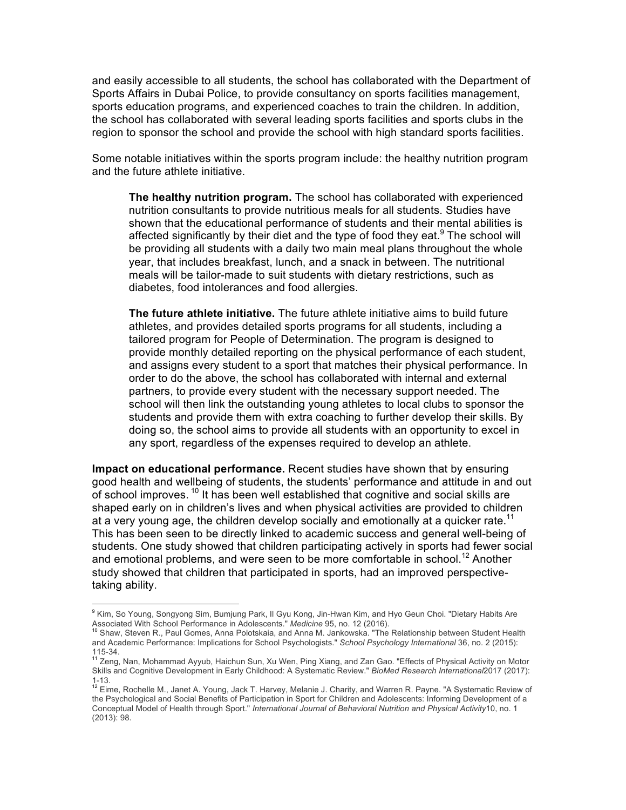and easily accessible to all students, the school has collaborated with the Department of Sports Affairs in Dubai Police, to provide consultancy on sports facilities management, sports education programs, and experienced coaches to train the children. In addition, the school has collaborated with several leading sports facilities and sports clubs in the region to sponsor the school and provide the school with high standard sports facilities.

Some notable initiatives within the sports program include: the healthy nutrition program and the future athlete initiative.

**The healthy nutrition program.** The school has collaborated with experienced nutrition consultants to provide nutritious meals for all students. Studies have shown that the educational performance of students and their mental abilities is affected significantly by their diet and the type of food they eat.<sup>9</sup> The school will be providing all students with a daily two main meal plans throughout the whole year, that includes breakfast, lunch, and a snack in between. The nutritional meals will be tailor-made to suit students with dietary restrictions, such as diabetes, food intolerances and food allergies.

**The future athlete initiative.** The future athlete initiative aims to build future athletes, and provides detailed sports programs for all students, including a tailored program for People of Determination. The program is designed to provide monthly detailed reporting on the physical performance of each student, and assigns every student to a sport that matches their physical performance. In order to do the above, the school has collaborated with internal and external partners, to provide every student with the necessary support needed. The school will then link the outstanding young athletes to local clubs to sponsor the students and provide them with extra coaching to further develop their skills. By doing so, the school aims to provide all students with an opportunity to excel in any sport, regardless of the expenses required to develop an athlete.

**Impact on educational performance.** Recent studies have shown that by ensuring good health and wellbeing of students, the students' performance and attitude in and out of school improves.  $10$  It has been well established that cognitive and social skills are shaped early on in children's lives and when physical activities are provided to children at a very young age, the children develop socially and emotionally at a quicker rate.<sup>11</sup> This has been seen to be directly linked to academic success and general well-being of students. One study showed that children participating actively in sports had fewer social and emotional problems, and were seen to be more comfortable in school.<sup>12</sup> Another study showed that children that participated in sports, had an improved perspectivetaking ability.

<sup>&</sup>lt;sup>9</sup> Kim, So Young, Songyong Sim, Bumjung Park, II Gyu Kong, Jin-Hwan Kim, and Hyo Geun Choi. "Dietary Habits Are Associated With School Performance in Adolescents." *Medicine* 95, no. 12 (2016).<br><sup>10</sup> Shaw, Steven R., Paul Gomes, Anna Polotskaia, and Anna M. Jankowska. "The Relationship between Student Health

and Academic Performance: Implications for School Psychologists." *School Psychology International* 36, no. 2 (2015): 115-34.<br><sup>11</sup> Zeng, Nan, Mohammad Ayyub, Haichun Sun, Xu Wen, Ping Xiang, and Zan Gao. "Effects of Physical Activity on Motor

Skills and Cognitive Development in Early Childhood: A Systematic Review." *BioMed Research International*2017 (2017):

<sup>1-13.&</sup>lt;br><sup>12</sup> Eime, Rochelle M., Janet A. Young, Jack T. Harvey, Melanie J. Charity, and Warren R. Payne. "A Systematic Review of the Psychological and Social Benefits of Participation in Sport for Children and Adolescents: Informing Development of a Conceptual Model of Health through Sport." *International Journal of Behavioral Nutrition and Physical Activity*10, no. 1 (2013): 98.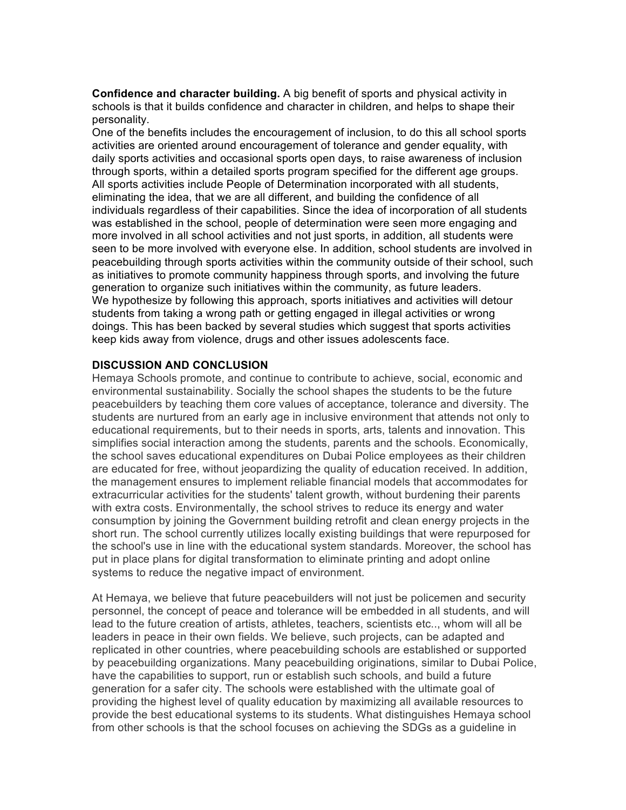**Confidence and character building.** A big benefit of sports and physical activity in schools is that it builds confidence and character in children, and helps to shape their personality.

One of the benefits includes the encouragement of inclusion, to do this all school sports activities are oriented around encouragement of tolerance and gender equality, with daily sports activities and occasional sports open days, to raise awareness of inclusion through sports, within a detailed sports program specified for the different age groups. All sports activities include People of Determination incorporated with all students, eliminating the idea, that we are all different, and building the confidence of all individuals regardless of their capabilities. Since the idea of incorporation of all students was established in the school, people of determination were seen more engaging and more involved in all school activities and not just sports, in addition, all students were seen to be more involved with everyone else. In addition, school students are involved in peacebuilding through sports activities within the community outside of their school, such as initiatives to promote community happiness through sports, and involving the future generation to organize such initiatives within the community, as future leaders. We hypothesize by following this approach, sports initiatives and activities will detour students from taking a wrong path or getting engaged in illegal activities or wrong doings. This has been backed by several studies which suggest that sports activities keep kids away from violence, drugs and other issues adolescents face.

### **DISCUSSION AND CONCLUSION**

Hemaya Schools promote, and continue to contribute to achieve, social, economic and environmental sustainability. Socially the school shapes the students to be the future peacebuilders by teaching them core values of acceptance, tolerance and diversity. The students are nurtured from an early age in inclusive environment that attends not only to educational requirements, but to their needs in sports, arts, talents and innovation. This simplifies social interaction among the students, parents and the schools. Economically, the school saves educational expenditures on Dubai Police employees as their children are educated for free, without jeopardizing the quality of education received. In addition, the management ensures to implement reliable financial models that accommodates for extracurricular activities for the students' talent growth, without burdening their parents with extra costs. Environmentally, the school strives to reduce its energy and water consumption by joining the Government building retrofit and clean energy projects in the short run. The school currently utilizes locally existing buildings that were repurposed for the school's use in line with the educational system standards. Moreover, the school has put in place plans for digital transformation to eliminate printing and adopt online systems to reduce the negative impact of environment.

At Hemaya, we believe that future peacebuilders will not just be policemen and security personnel, the concept of peace and tolerance will be embedded in all students, and will lead to the future creation of artists, athletes, teachers, scientists etc.., whom will all be leaders in peace in their own fields. We believe, such projects, can be adapted and replicated in other countries, where peacebuilding schools are established or supported by peacebuilding organizations. Many peacebuilding originations, similar to Dubai Police, have the capabilities to support, run or establish such schools, and build a future generation for a safer city. The schools were established with the ultimate goal of providing the highest level of quality education by maximizing all available resources to provide the best educational systems to its students. What distinguishes Hemaya school from other schools is that the school focuses on achieving the SDGs as a guideline in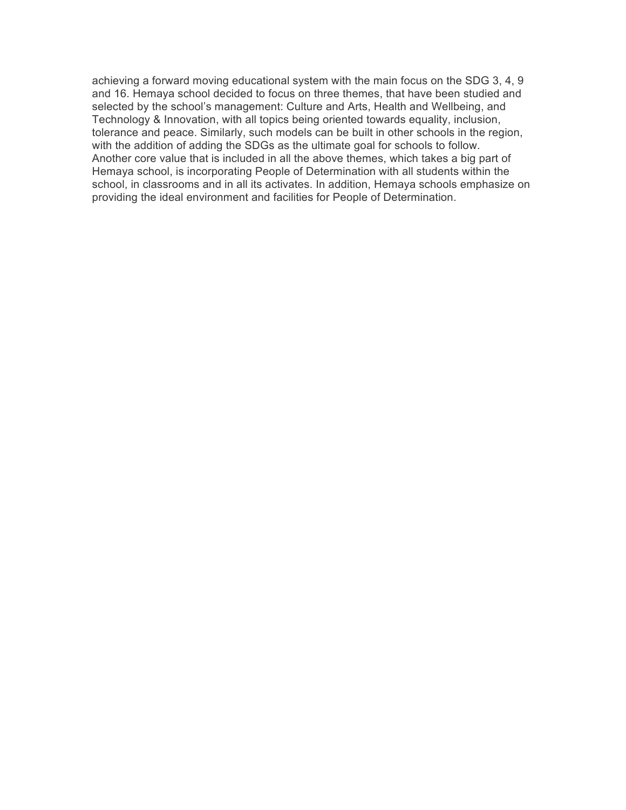achieving a forward moving educational system with the main focus on the SDG 3, 4, 9 and 16. Hemaya school decided to focus on three themes, that have been studied and selected by the school's management: Culture and Arts, Health and Wellbeing, and Technology & Innovation, with all topics being oriented towards equality, inclusion, tolerance and peace. Similarly, such models can be built in other schools in the region, with the addition of adding the SDGs as the ultimate goal for schools to follow. Another core value that is included in all the above themes, which takes a big part of Hemaya school, is incorporating People of Determination with all students within the school, in classrooms and in all its activates. In addition, Hemaya schools emphasize on providing the ideal environment and facilities for People of Determination.